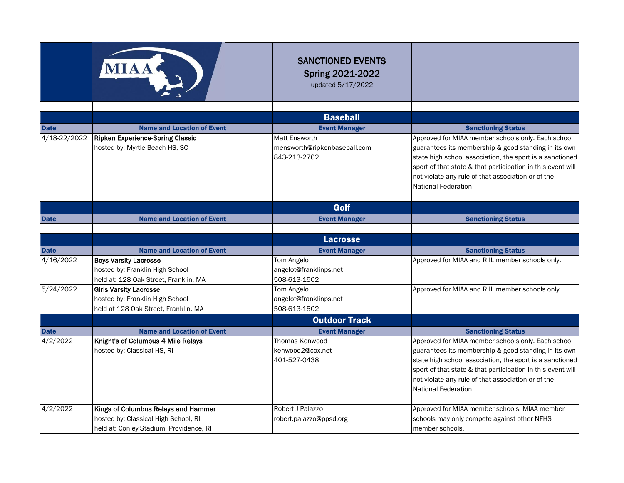|                             | MIAA                                                                                                                   | <b>SANCTIONED EVENTS</b><br><b>Spring 2021-2022</b><br>updated 5/17/2022 |                                                                                                                                                                                                                                                                                                                           |
|-----------------------------|------------------------------------------------------------------------------------------------------------------------|--------------------------------------------------------------------------|---------------------------------------------------------------------------------------------------------------------------------------------------------------------------------------------------------------------------------------------------------------------------------------------------------------------------|
|                             |                                                                                                                        | <b>Baseball</b>                                                          |                                                                                                                                                                                                                                                                                                                           |
|                             | <b>Name and Location of Event</b>                                                                                      | <b>Event Manager</b>                                                     |                                                                                                                                                                                                                                                                                                                           |
| <b>Date</b><br>4/18-22/2022 | <b>Ripken Experience-Spring Classic</b>                                                                                | Matt Ensworth                                                            | <b>Sanctioning Status</b><br>Approved for MIAA member schools only. Each school                                                                                                                                                                                                                                           |
|                             | hosted by: Myrtle Beach HS, SC                                                                                         | mensworth@ripkenbaseball.com<br>843-213-2702                             | guarantees its membership & good standing in its own<br>state high school association, the sport is a sanctioned<br>sport of that state & that participation in this event will<br>not violate any rule of that association or of the<br><b>National Federation</b>                                                       |
|                             |                                                                                                                        | Golf                                                                     |                                                                                                                                                                                                                                                                                                                           |
| <b>Date</b>                 | <b>Name and Location of Event</b>                                                                                      | <b>Event Manager</b>                                                     | <b>Sanctioning Status</b>                                                                                                                                                                                                                                                                                                 |
|                             |                                                                                                                        |                                                                          |                                                                                                                                                                                                                                                                                                                           |
|                             |                                                                                                                        | <b>Lacrosse</b>                                                          |                                                                                                                                                                                                                                                                                                                           |
| <b>Date</b>                 | <b>Name and Location of Event</b>                                                                                      | <b>Event Manager</b>                                                     | <b>Sanctioning Status</b>                                                                                                                                                                                                                                                                                                 |
| 4/16/2022                   | <b>Boys Varsity Lacrosse</b><br>hosted by: Franklin High School                                                        | Tom Angelo<br>angelot@franklinps.net                                     | Approved for MIAA and RIIL member schools only.                                                                                                                                                                                                                                                                           |
|                             | held at: 128 Oak Street, Franklin, MA                                                                                  | 508-613-1502                                                             |                                                                                                                                                                                                                                                                                                                           |
| 5/24/2022                   | <b>Girls Varsity Lacrosse</b><br>hosted by: Franklin High School<br>held at 128 Oak Street, Franklin, MA               | Tom Angelo<br>angelot@franklinps.net<br>508-613-1502                     | Approved for MIAA and RIIL member schools only.                                                                                                                                                                                                                                                                           |
|                             |                                                                                                                        | <b>Outdoor Track</b>                                                     |                                                                                                                                                                                                                                                                                                                           |
| <b>Date</b>                 | <b>Name and Location of Event</b>                                                                                      | <b>Event Manager</b>                                                     | <b>Sanctioning Status</b>                                                                                                                                                                                                                                                                                                 |
| 4/2/2022                    | Knight's of Columbus 4 Mile Relays<br>hosted by: Classical HS, RI                                                      | Thomas Kenwood<br>kenwood2@cox.net<br>401-527-0438                       | Approved for MIAA member schools only. Each school<br>guarantees its membership & good standing in its own<br>state high school association, the sport is a sanctioned<br>sport of that state & that participation in this event will<br>not violate any rule of that association or of the<br><b>National Federation</b> |
| 4/2/2022                    | Kings of Columbus Relays and Hammer<br>hosted by: Classical High School, RI<br>held at: Conley Stadium, Providence, RI | Robert J Palazzo<br>robert.palazzo@ppsd.org                              | Approved for MIAA member schools. MIAA member<br>schools may only compete against other NFHS<br>member schools.                                                                                                                                                                                                           |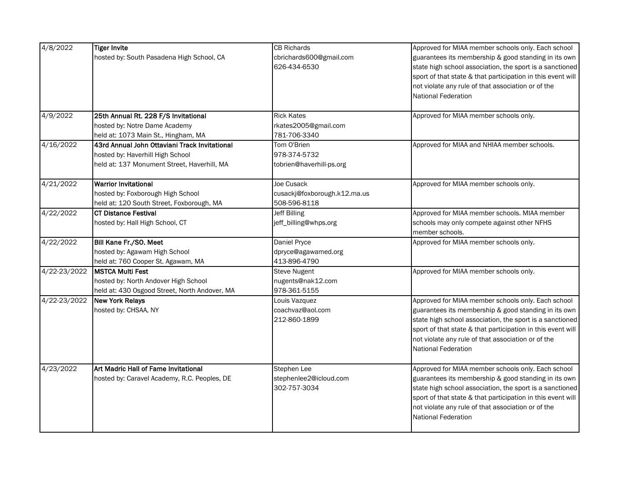| 4/8/2022     | <b>Tiger Invite</b>                           | <b>CB Richards</b>           | Approved for MIAA member schools only. Each school          |
|--------------|-----------------------------------------------|------------------------------|-------------------------------------------------------------|
|              | hosted by: South Pasadena High School, CA     | cbrichards600@gmail.com      | guarantees its membership & good standing in its own        |
|              |                                               | 626-434-6530                 | state high school association, the sport is a sanctioned    |
|              |                                               |                              | sport of that state & that participation in this event will |
|              |                                               |                              |                                                             |
|              |                                               |                              | not violate any rule of that association or of the          |
|              |                                               |                              | National Federation                                         |
| 4/9/2022     | 25th Annual Rt. 228 F/S Invitational          | <b>Rick Kates</b>            | Approved for MIAA member schools only.                      |
|              | hosted by: Notre Dame Academy                 | rkates2005@gmail.com         |                                                             |
|              | held at: 1073 Main St., Hingham, MA           | 781-706-3340                 |                                                             |
| 4/16/2022    | 43rd Annual John Ottaviani Track Invitational | Tom O'Brien                  | Approved for MIAA and NHIAA member schools.                 |
|              | hosted by: Haverhill High School              | 978-374-5732                 |                                                             |
|              | held at: 137 Monument Street, Haverhill, MA   | tobrien@haverhill-ps.org     |                                                             |
| 4/21/2022    | <b>Warrior Invitational</b>                   | Joe Cusack                   | Approved for MIAA member schools only.                      |
|              | hosted by: Foxborough High School             | cusackj@foxborough.k12.ma.us |                                                             |
|              | held at: 120 South Street, Foxborough, MA     | 508-596-8118                 |                                                             |
| 4/22/2022    | <b>CT Distance Festival</b>                   | <b>Jeff Billing</b>          | Approved for MIAA member schools. MIAA member               |
|              | hosted by: Hall High School, CT               | jeff_billing@whps.org        | schools may only compete against other NFHS                 |
|              |                                               |                              | member schools.                                             |
| 4/22/2022    | Bill Kane Fr./SO. Meet                        | Daniel Pryce                 | Approved for MIAA member schools only.                      |
|              | hosted by: Agawam High School                 | dpryce@agawamed.org          |                                                             |
|              | held at: 760 Cooper St. Agawam, MA            | 413-896-4790                 |                                                             |
| 4/22-23/2022 | <b>MSTCA Multi Fest</b>                       | Steve Nugent                 | Approved for MIAA member schools only.                      |
|              | hosted by: North Andover High School          | nugents@nak12.com            |                                                             |
|              | held at: 430 Osgood Street, North Andover, MA | 978-361-5155                 |                                                             |
| 4/22-23/2022 | <b>New York Relays</b>                        | Louis Vazquez                | Approved for MIAA member schools only. Each school          |
|              | hosted by: CHSAA, NY                          | coachvaz@aol.com             | guarantees its membership & good standing in its own        |
|              |                                               | 212-860-1899                 | state high school association, the sport is a sanctioned    |
|              |                                               |                              | sport of that state & that participation in this event will |
|              |                                               |                              | not violate any rule of that association or of the          |
|              |                                               |                              | National Federation                                         |
|              |                                               |                              |                                                             |
| 4/23/2022    | Art Madric Hall of Fame Invitational          | Stephen Lee                  | Approved for MIAA member schools only. Each school          |
|              | hosted by: Caravel Academy, R.C. Peoples, DE  | stephenlee2@icloud.com       | guarantees its membership & good standing in its own        |
|              |                                               | 302-757-3034                 | state high school association, the sport is a sanctioned    |
|              |                                               |                              | sport of that state & that participation in this event will |
|              |                                               |                              | not violate any rule of that association or of the          |
|              |                                               |                              |                                                             |
|              |                                               |                              |                                                             |
|              |                                               |                              | <b>National Federation</b>                                  |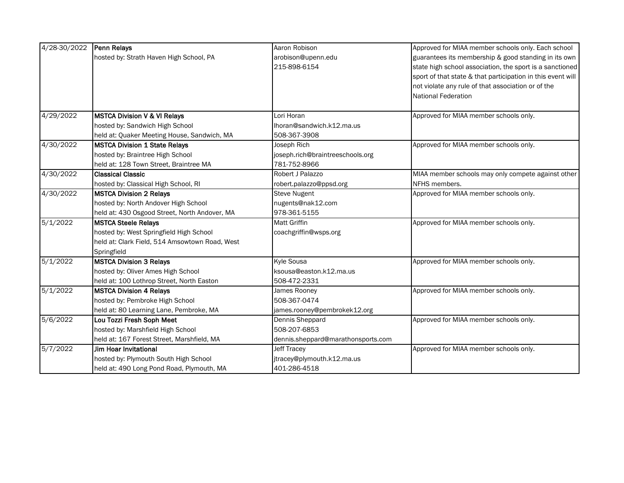| 4/28-30/2022         | Penn Relays                                    | Aaron Robison                      | Approved for MIAA member schools only. Each school          |
|----------------------|------------------------------------------------|------------------------------------|-------------------------------------------------------------|
|                      | hosted by: Strath Haven High School, PA        | arobison@upenn.edu                 | guarantees its membership & good standing in its own        |
|                      |                                                | 215-898-6154                       | state high school association, the sport is a sanctioned    |
|                      |                                                |                                    | sport of that state & that participation in this event will |
|                      |                                                |                                    | not violate any rule of that association or of the          |
|                      |                                                |                                    | <b>National Federation</b>                                  |
| 4/29/2022            | <b>MSTCA Division V &amp; VI Relays</b>        | Lori Horan                         | Approved for MIAA member schools only.                      |
|                      | hosted by: Sandwich High School                | Ihoran@sandwich.k12.ma.us          |                                                             |
|                      | held at: Quaker Meeting House, Sandwich, MA    | 508-367-3908                       |                                                             |
| 4/30/2022            | <b>MSTCA Division 1 State Relays</b>           | Joseph Rich                        | Approved for MIAA member schools only.                      |
|                      | hosted by: Braintree High School               | joseph.rich@braintreeschools.org   |                                                             |
|                      | held at: 128 Town Street, Braintree MA         | 781-752-8966                       |                                                             |
| $\frac{4}{30}{2022}$ | <b>Classical Classic</b>                       | Robert J Palazzo                   | MIAA member schools may only compete against other          |
|                      | hosted by: Classical High School, RI           | robert.palazzo@ppsd.org            | NFHS members.                                               |
| 4/30/2022            | <b>MSTCA Division 2 Relays</b>                 | <b>Steve Nugent</b>                | Approved for MIAA member schools only.                      |
|                      | hosted by: North Andover High School           | nugents@nak12.com                  |                                                             |
|                      | held at: 430 Osgood Street, North Andover, MA  | 978-361-5155                       |                                                             |
| 5/1/2022             | <b>MSTCA Steele Relays</b>                     | <b>Matt Griffin</b>                | Approved for MIAA member schools only.                      |
|                      | hosted by: West Springfield High School        | coachgriffin@wsps.org              |                                                             |
|                      | held at: Clark Field, 514 Amsowtown Road, West |                                    |                                                             |
|                      | Springfield                                    |                                    |                                                             |
| 5/1/2022             | <b>MSTCA Division 3 Relays</b>                 | Kvle Sousa                         | Approved for MIAA member schools only.                      |
|                      | hosted by: Oliver Ames High School             | ksousa@easton.k12.ma.us            |                                                             |
|                      | held at: 100 Lothrop Street, North Easton      | 508-472-2331                       |                                                             |
| 5/1/2022             | <b>MSTCA Division 4 Relays</b>                 | James Rooney                       | Approved for MIAA member schools only.                      |
|                      | hosted by: Pembroke High School                | 508-367-0474                       |                                                             |
|                      | held at: 80 Learning Lane, Pembroke, MA        | james.rooney@pembrokek12.org       |                                                             |
| 5/6/2022             | Lou Tozzi Fresh Soph Meet                      | Dennis Sheppard                    | Approved for MIAA member schools only.                      |
|                      | hosted by: Marshfield High School              | 508-207-6853                       |                                                             |
|                      | held at: 167 Forest Street, Marshfield, MA     | dennis.sheppard@marathonsports.com |                                                             |
| 5/7/2022             | Jim Hoar Invitational                          | <b>Jeff Tracey</b>                 | Approved for MIAA member schools only.                      |
|                      | hosted by: Plymouth South High School          | jtracey@plymouth.k12.ma.us         |                                                             |
|                      | held at: 490 Long Pond Road, Plymouth, MA      | 401-286-4518                       |                                                             |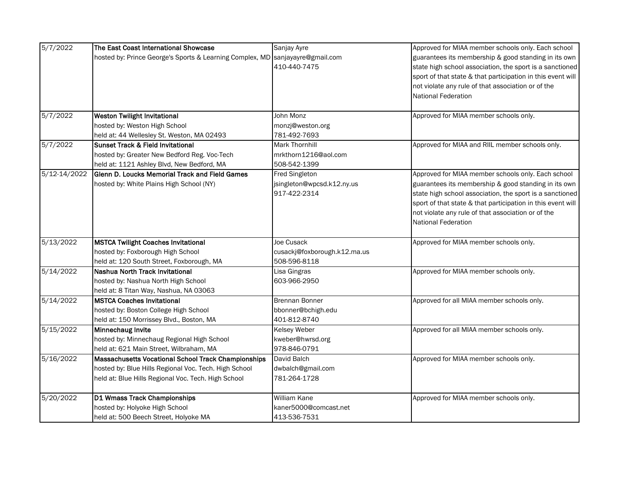| 5/7/2022     | The East Coast International Showcase                                         | Sanjay Ayre                  | Approved for MIAA member schools only. Each school          |
|--------------|-------------------------------------------------------------------------------|------------------------------|-------------------------------------------------------------|
|              | hosted by: Prince George's Sports & Learning Complex, MD sanjayayre@gmail.com |                              | guarantees its membership & good standing in its own        |
|              |                                                                               | 410-440-7475                 | state high school association, the sport is a sanctioned    |
|              |                                                                               |                              | sport of that state & that participation in this event will |
|              |                                                                               |                              | not violate any rule of that association or of the          |
|              |                                                                               |                              | <b>National Federation</b>                                  |
|              |                                                                               |                              |                                                             |
| 5/7/2022     | <b>Weston Twilight Invitational</b>                                           | John Monz                    | Approved for MIAA member schools only.                      |
|              | hosted by: Weston High School                                                 | monzj@weston.org             |                                                             |
|              | held at: 44 Wellesley St. Weston, MA 02493                                    | 781-492-7693                 |                                                             |
| 5/7/2022     | <b>Sunset Track &amp; Field Invitational</b>                                  | Mark Thornhill               | Approved for MIAA and RIIL member schools only.             |
|              | hosted by: Greater New Bedford Reg. Voc-Tech                                  | mrkthorn1216@aol.com         |                                                             |
|              | held at: 1121 Ashley Blvd, New Bedford, MA                                    | 508-542-1399                 |                                                             |
| 5/12-14/2022 | Glenn D. Loucks Memorial Track and Field Games                                | <b>Fred Singleton</b>        | Approved for MIAA member schools only. Each school          |
|              | hosted by: White Plains High School (NY)                                      | jsingleton@wpcsd.k12.ny.us   | guarantees its membership & good standing in its own        |
|              |                                                                               | 917-422-2314                 | state high school association, the sport is a sanctioned    |
|              |                                                                               |                              | sport of that state & that participation in this event will |
|              |                                                                               |                              | not violate any rule of that association or of the          |
|              |                                                                               |                              | <b>National Federation</b>                                  |
|              |                                                                               |                              |                                                             |
| 5/13/2022    | <b>MSTCA Twilight Coaches Invitational</b>                                    | Joe Cusack                   | Approved for MIAA member schools only.                      |
|              | hosted by: Foxborough High School                                             | cusackj@foxborough.k12.ma.us |                                                             |
|              | held at: 120 South Street, Foxborough, MA                                     | 508-596-8118                 |                                                             |
| 5/14/2022    | Nashua North Track Invitational                                               | Lisa Gingras                 | Approved for MIAA member schools only.                      |
|              | hosted by: Nashua North High School                                           | 603-966-2950                 |                                                             |
|              | held at: 8 Titan Way, Nashua, NA 03063                                        |                              |                                                             |
| 5/14/2022    | <b>MSTCA Coaches Invitational</b>                                             | <b>Brennan Bonner</b>        | Approved for all MIAA member schools only.                  |
|              | hosted by: Boston College High School                                         | bbonner@bchigh.edu           |                                                             |
|              | held at: 150 Morrissey Blvd., Boston, MA                                      | 401-812-8740                 |                                                             |
| 5/15/2022    | Minnechaug Invite                                                             | Kelsey Weber                 | Approved for all MIAA member schools only.                  |
|              | hosted by: Minnechaug Regional High School                                    | kweber@hwrsd.org             |                                                             |
|              | held at: 621 Main Street, Wilbraham, MA                                       | 978-846-0791                 |                                                             |
| 5/16/2022    | Massachusetts Vocational School Track Championships                           | David Balch                  | Approved for MIAA member schools only.                      |
|              | hosted by: Blue Hills Regional Voc. Tech. High School                         | dwbalch@gmail.com            |                                                             |
|              | held at: Blue Hills Regional Voc. Tech. High School                           | 781-264-1728                 |                                                             |
| 5/20/2022    | D1 Wmass Track Championships                                                  | William Kane                 | Approved for MIAA member schools only.                      |
|              | hosted by: Holyoke High School                                                | kaner5000@comcast.net        |                                                             |
|              | held at: 500 Beech Street, Holyoke MA                                         | 413-536-7531                 |                                                             |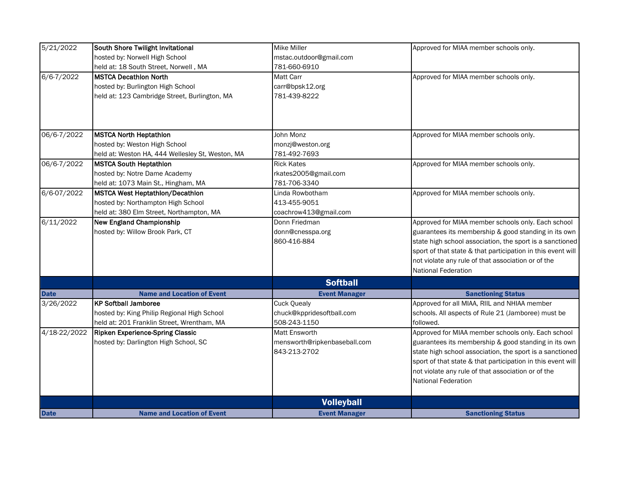| hosted by: Norwell High School<br>mstac.outdoor@gmail.com<br>781-660-6910<br>held at: 18 South Street, Norwell, MA                    |  |
|---------------------------------------------------------------------------------------------------------------------------------------|--|
|                                                                                                                                       |  |
|                                                                                                                                       |  |
| 6/6-7/2022<br><b>MSTCA Decathlon North</b><br><b>Matt Carr</b><br>Approved for MIAA member schools only.                              |  |
| hosted by: Burlington High School<br>carr@bpsk12.org                                                                                  |  |
| held at: 123 Cambridge Street, Burlington, MA<br>781-439-8222                                                                         |  |
|                                                                                                                                       |  |
|                                                                                                                                       |  |
| 06/6-7/2022<br><b>MSTCA North Heptathlon</b><br>John Monz<br>Approved for MIAA member schools only.                                   |  |
| hosted by: Weston High School<br>monzj@weston.org                                                                                     |  |
| 781-492-7693<br>held at: Weston HA, 444 Wellesley St, Weston, MA                                                                      |  |
| 06/6-7/2022<br><b>Rick Kates</b><br>Approved for MIAA member schools only.<br><b>MSTCA South Heptathlon</b>                           |  |
| hosted by: Notre Dame Academy<br>rkates2005@gmail.com                                                                                 |  |
| 781-706-3340<br>held at: 1073 Main St., Hingham, MA                                                                                   |  |
| 6/6-07/2022<br>MSTCA West Heptathlon/Decathlon<br>Approved for MIAA member schools only.<br>Linda Rowbotham                           |  |
| hosted by: Northampton High School<br>413-455-9051                                                                                    |  |
| held at: 380 Elm Street, Northampton, MA<br>coachrow413@gmail.com                                                                     |  |
| 6/11/2022<br>Donn Friedman<br>Approved for MIAA member schools only. Each school<br><b>New England Championship</b>                   |  |
| hosted by: Willow Brook Park, CT<br>donn@cnesspa.org<br>guarantees its membership & good standing in its own                          |  |
| 860-416-884<br>state high school association, the sport is a sanctioned                                                               |  |
| sport of that state & that participation in this event will                                                                           |  |
| not violate any rule of that association or of the                                                                                    |  |
| <b>National Federation</b>                                                                                                            |  |
| <b>Softball</b>                                                                                                                       |  |
| <b>Name and Location of Event</b><br><b>Event Manager</b><br><b>Sanctioning Status</b><br><b>Date</b>                                 |  |
| Approved for all MIAA, RIIL and NHIAA member<br>3/26/2022<br><b>KP Softball Jamboree</b><br><b>Cuck Quealy</b>                        |  |
| hosted by: King Philip Regional High School<br>chuck@kppridesoftball.com<br>schools. All aspects of Rule 21 (Jamboree) must be        |  |
| 508-243-1150<br>held at: 201 Franklin Street, Wrentham, MA<br>followed.                                                               |  |
| 4/18-22/2022<br>Approved for MIAA member schools only. Each school<br><b>Matt Ensworth</b><br><b>Ripken Experience-Spring Classic</b> |  |
| hosted by: Darlington High School, SC<br>mensworth@ripkenbaseball.com<br>guarantees its membership & good standing in its own         |  |
| 843-213-2702<br>state high school association, the sport is a sanctioned                                                              |  |
| sport of that state & that participation in this event will                                                                           |  |
| not violate any rule of that association or of the                                                                                    |  |
| <b>National Federation</b>                                                                                                            |  |
| <b>Volleyball</b>                                                                                                                     |  |
| <b>Date</b><br><b>Name and Location of Event</b><br><b>Event Manager</b><br><b>Sanctioning Status</b>                                 |  |